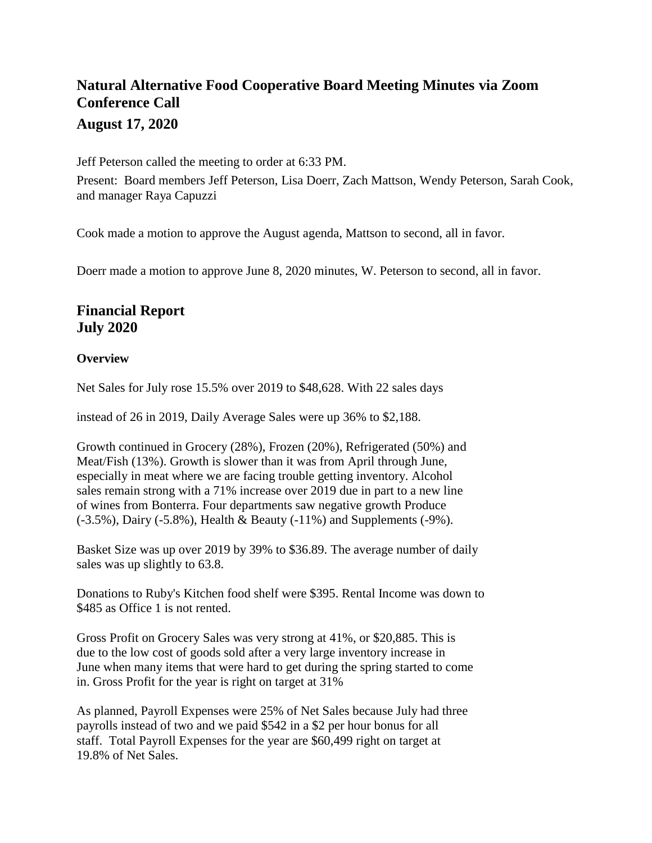# **Natural Alternative Food Cooperative Board Meeting Minutes via Zoom Conference Call August 17, 2020**

Jeff Peterson called the meeting to order at 6:33 PM. Present: Board members Jeff Peterson, Lisa Doerr, Zach Mattson, Wendy Peterson, Sarah Cook, and manager Raya Capuzzi

Cook made a motion to approve the August agenda, Mattson to second, all in favor.

Doerr made a motion to approve June 8, 2020 minutes, W. Peterson to second, all in favor.

### **Financial Report July 2020**

#### **Overview**

Net Sales for July rose 15.5% over 2019 to \$48,628. With 22 sales days

instead of 26 in 2019, Daily Average Sales were up 36% to \$2,188.

Growth continued in Grocery (28%), Frozen (20%), Refrigerated (50%) and Meat/Fish (13%). Growth is slower than it was from April through June, especially in meat where we are facing trouble getting inventory. Alcohol sales remain strong with a 71% increase over 2019 due in part to a new line of wines from Bonterra. Four departments saw negative growth Produce (-3.5%), Dairy (-5.8%), Health & Beauty (-11%) and Supplements (-9%).

Basket Size was up over 2019 by 39% to \$36.89. The average number of daily sales was up slightly to 63.8.

Donations to Ruby's Kitchen food shelf were \$395. Rental Income was down to \$485 as Office 1 is not rented.

Gross Profit on Grocery Sales was very strong at 41%, or \$20,885. This is due to the low cost of goods sold after a very large inventory increase in June when many items that were hard to get during the spring started to come in. Gross Profit for the year is right on target at 31%

As planned, Payroll Expenses were 25% of Net Sales because July had three payrolls instead of two and we paid \$542 in a \$2 per hour bonus for all staff. Total Payroll Expenses for the year are \$60,499 right on target at 19.8% of Net Sales.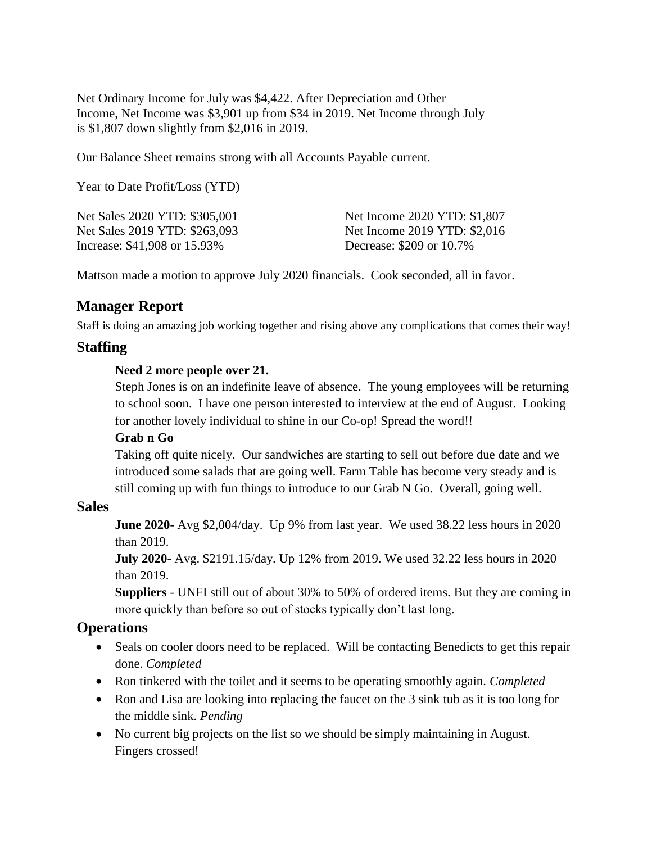Net Ordinary Income for July was \$4,422. After Depreciation and Other Income, Net Income was \$3,901 up from \$34 in 2019. Net Income through July is \$1,807 down slightly from \$2,016 in 2019.

Our Balance Sheet remains strong with all Accounts Payable current.

Year to Date Profit/Loss (YTD)

Net Sales 2020 YTD: \$305,001 Net Sales 2019 YTD: \$263,093 Increase: \$41,908 or 15.93%

Net Income 2020 YTD: \$1,807 Net Income 2019 YTD: \$2,016 Decrease: \$209 or 10.7%

Mattson made a motion to approve July 2020 financials. Cook seconded, all in favor.

## **Manager Report**

Staff is doing an amazing job working together and rising above any complications that comes their way!

### **Staffing**

#### **Need 2 more people over 21.**

Steph Jones is on an indefinite leave of absence. The young employees will be returning to school soon. I have one person interested to interview at the end of August. Looking for another lovely individual to shine in our Co-op! Spread the word!!

#### **Grab n Go**

Taking off quite nicely. Our sandwiches are starting to sell out before due date and we introduced some salads that are going well. Farm Table has become very steady and is still coming up with fun things to introduce to our Grab N Go. Overall, going well.

### **Sales**

**June 2020-** Avg \$2,004/day. Up 9% from last year. We used 38.22 less hours in 2020 than 2019.

**July 2020-** Avg. \$2191.15/day. Up 12% from 2019. We used 32.22 less hours in 2020 than 2019.

**Suppliers** - UNFI still out of about 30% to 50% of ordered items. But they are coming in more quickly than before so out of stocks typically don't last long.

### **Operations**

- Seals on cooler doors need to be replaced. Will be contacting Benedicts to get this repair done. *Completed*
- Ron tinkered with the toilet and it seems to be operating smoothly again. *Completed*
- Ron and Lisa are looking into replacing the faucet on the 3 sink tub as it is too long for the middle sink. *Pending*
- No current big projects on the list so we should be simply maintaining in August. Fingers crossed!